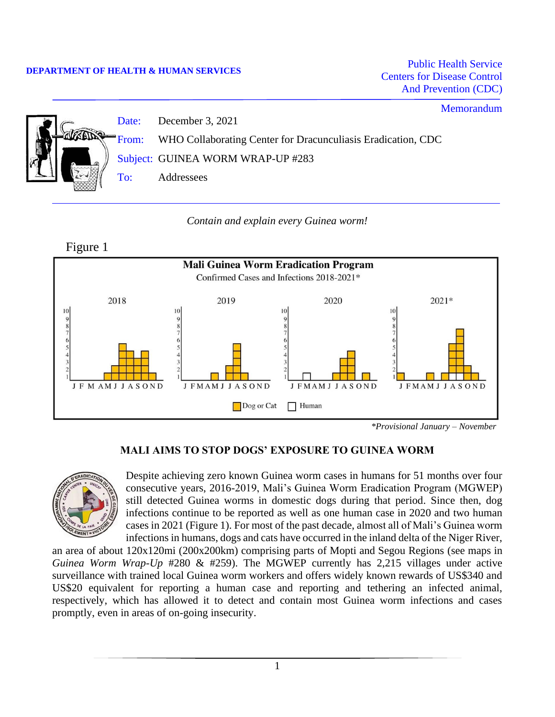#### **DEPARTMENT OF HEALTH & HUMAN SERVICES**

Public Health Service Centers for Disease Control And Prevention (CDC)

# Memorandum Date: December 3, 2021 From: WHO Collaborating Center for Dracunculiasis Eradication, CDC Subject: GUINEA WORM WRAP-UP #283 To: Addressees

## *Contain and explain every Guinea worm!*



## **MALI AIMS TO STOP DOGS' EXPOSURE TO GUINEA WORM**



Despite achieving zero known Guinea worm cases in humans for 51 months over four consecutive years, 2016-2019, Mali's Guinea Worm Eradication Program (MGWEP) still detected Guinea worms in domestic dogs during that period. Since then, dog infections continue to be reported as well as one human case in 2020 and two human cases in 2021 (Figure 1). For most of the past decade, almost all of Mali's Guinea worm infections in humans, dogs and cats have occurred in the inland delta of the Niger River,

an area of about 120x120mi (200x200km) comprising parts of Mopti and Segou Regions (see maps in *Guinea Worm Wrap-Up* #280 & #259). The MGWEP currently has 2,215 villages under active surveillance with trained local Guinea worm workers and offers widely known rewards of US\$340 and US\$20 equivalent for reporting a human case and reporting and tethering an infected animal, respectively, which has allowed it to detect and contain most Guinea worm infections and cases promptly, even in areas of on-going insecurity.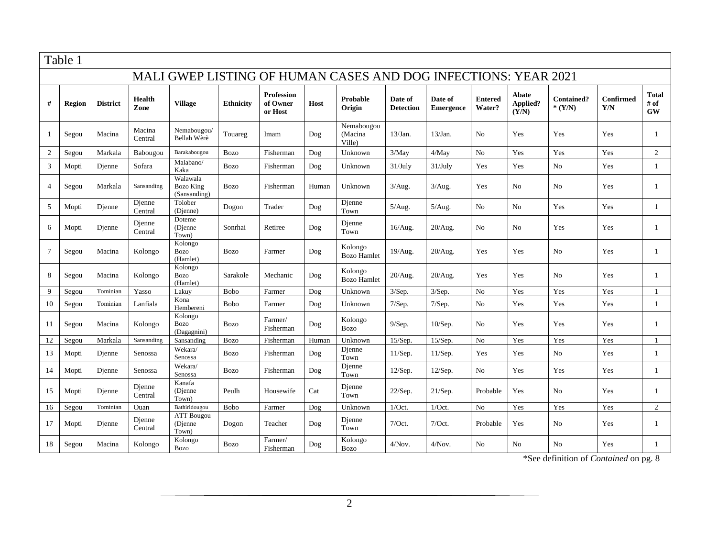|                                                                | Table 1 |                 |                   |                                              |                  |                                          |             |                                 |                             |                             |                          |                            |                               |                         |                                   |
|----------------------------------------------------------------|---------|-----------------|-------------------|----------------------------------------------|------------------|------------------------------------------|-------------|---------------------------------|-----------------------------|-----------------------------|--------------------------|----------------------------|-------------------------------|-------------------------|-----------------------------------|
| MALI GWEP LISTING OF HUMAN CASES AND DOG INFECTIONS: YEAR 2021 |         |                 |                   |                                              |                  |                                          |             |                                 |                             |                             |                          |                            |                               |                         |                                   |
| #                                                              | Region  | <b>District</b> | Health<br>Zone    | <b>Village</b>                               | <b>Ethnicity</b> | <b>Profession</b><br>of Owner<br>or Host | <b>Host</b> | Probable<br>Origin              | Date of<br><b>Detection</b> | Date of<br><b>Emergence</b> | <b>Entered</b><br>Water? | Abate<br>Applied?<br>(Y/N) | <b>Contained?</b><br>$*(Y/N)$ | <b>Confirmed</b><br>Y/N | <b>Total</b><br># of<br><b>GW</b> |
|                                                                | Segou   | Macina          | Macina<br>Central | Nemabougou/<br>Bellah Wèrè                   | Touareg          | Imam                                     | Dog         | Nemabougou<br>(Macina<br>Ville) | 13/Jan.                     | 13/Jan.                     | N <sub>o</sub>           | Yes                        | Yes                           | Yes                     | -1                                |
| $\overline{2}$                                                 | Segou   | Markala         | Babougou          | Barakabougou                                 | <b>Bozo</b>      | Fisherman                                | Dog         | Unknown                         | 3/May                       | 4/May                       | N <sub>o</sub>           | Yes                        | Yes                           | Yes                     | $\overline{2}$                    |
| 3                                                              | Mopti   | Djenne          | Sofara            | Malabano/<br>Kaka                            | <b>Bozo</b>      | Fisherman                                | Dog         | Unknown                         | 31/July                     | 31/July                     | Yes                      | Yes                        | N <sub>0</sub>                | Yes                     | $\overline{1}$                    |
| $\Delta$                                                       | Segou   | Markala         | Sansanding        | Walawala<br><b>Bozo King</b><br>(Sansanding) | <b>Bozo</b>      | Fisherman                                | Human       | Unknown                         | 3/Aug.                      | 3/Aug.                      | Yes                      | N <sub>o</sub>             | N <sub>0</sub>                | Yes                     | $\mathbf{1}$                      |
| 5                                                              | Mopti   | Djenne          | Djenne<br>Central | Tolober<br>(Dienne)                          | Dogon            | Trader                                   | Dog         | Djenne<br>Town                  | 5/Aug.                      | 5/Aug.                      | No                       | No                         | Yes                           | Yes                     | -1                                |
| 6                                                              | Mopti   | Dienne          | Djenne<br>Central | Doteme<br>(Djenne<br>Town)                   | Sonrhai          | Retiree                                  | Dog         | Djenne<br>Town                  | 16/Aug.                     | 20/Aug.                     | N <sub>0</sub>           | N <sub>o</sub>             | Yes                           | Yes                     | $\mathbf{1}$                      |
| 7                                                              | Segou   | Macina          | Kolongo           | Kolongo<br><b>Bozo</b><br>(Hamlet)           | <b>Bozo</b>      | Farmer                                   | Dog         | Kolongo<br><b>Bozo Hamlet</b>   | 19/Aug.                     | 20/Aug.                     | Yes                      | Yes                        | N <sub>0</sub>                | Yes                     | 1                                 |
| 8                                                              | Segou   | Macina          | Kolongo           | Kolongo<br><b>Bozo</b><br>(Hamlet)           | Sarakole         | Mechanic                                 | Dog         | Kolongo<br><b>Bozo Hamlet</b>   | $20/A$ ug.                  | 20/Aug.                     | Yes                      | Yes                        | N <sub>0</sub>                | Yes                     | $\mathbf{1}$                      |
| 9                                                              | Segou   | Tominian        | Yasso             | Lakuy                                        | <b>Bobo</b>      | Farmer                                   | Doq         | Unknown                         | 3/Sep.                      | $3/$ Sep.                   | N <sub>o</sub>           | Yes                        | Yes                           | Yes                     | -1                                |
| 10                                                             | Segou   | Tominian        | Lanfiala          | Kona<br>Hembereni                            | <b>Bobo</b>      | Farmer                                   | Dog         | Unknown                         | 7/Sep.                      | 7/Sep.                      | No                       | Yes                        | Yes                           | Yes                     | $\overline{1}$                    |
| 11                                                             | Segou   | Macina          | Kolongo           | Kolongo<br><b>Bozo</b><br>(Dagagnini)        | <b>Bozo</b>      | Farmer/<br>Fisherman                     | Dog         | Kolongo<br><b>Bozo</b>          | 9/Sep.                      | 10/Sep.                     | N <sub>0</sub>           | Yes                        | Yes                           | Yes                     | $\mathbf{1}$                      |
| 12                                                             | Segou   | Markala         | Sansanding        | Sansanding                                   | <b>Bozo</b>      | Fisherman                                | Human       | Unknown                         | 15/Sep                      | 15/Sep.                     | N <sub>o</sub>           | Yes                        | Yes                           | Yes                     |                                   |
| 13                                                             | Mopti   | Djenne          | Senossa           | Wekara/<br>Senossa                           | <b>Bozo</b>      | Fisherman                                | Dog         | Djenne<br>Town                  | 11/Sep.                     | 11/Sep.                     | Yes                      | Yes                        | N <sub>0</sub>                | Yes                     | 1                                 |
| 14                                                             | Mopti   | Dienne          | Senossa           | Wekara/<br>Senossa                           | <b>Bozo</b>      | Fisherman                                | Dog         | Djenne<br>Town                  | 12/Sep.                     | 12/Sep.                     | N <sub>0</sub>           | Yes                        | Yes                           | Yes                     | -1                                |
| 15                                                             | Mopti   | Djenne          | Dienne<br>Central | Kanafa<br>(Djenne<br>Town)                   | Peulh            | Housewife                                | Cat         | Dienne<br>Town                  | 22/Sep.                     | 21/Sep.                     | Probable                 | Yes                        | N <sub>0</sub>                | Yes                     | $\overline{1}$                    |
| 16                                                             | Segou   | Tominian        | Ouan              | Bathiridougou                                | <b>Bobo</b>      | Farmer                                   | Dog         | Unknown                         | $1/Oct$ .                   | 1/Oct.                      | No                       | Yes                        | Yes                           | Yes                     | $\overline{2}$                    |
| 17                                                             | Mopti   | Djenne          | Djenne<br>Central | <b>ATT Bougou</b><br>(Djenne<br>Town)        | Dogon            | Teacher                                  | Dog         | Djenne<br>Town                  | 7/Oct.                      | 7/Oct.                      | Probable                 | Yes                        | No                            | Yes                     | 1                                 |
| 18                                                             | Segou   | Macina          | Kolongo           | Kolongo<br><b>Bozo</b>                       | <b>Bozo</b>      | Farmer/<br>Fisherman                     | Dog         | Kolongo<br><b>Bozo</b>          | $4/Nov$ .                   | $4/Nov$ .                   | No                       | No                         | No                            | Yes                     | 1                                 |

\*See definition of *Contained* on pg. 8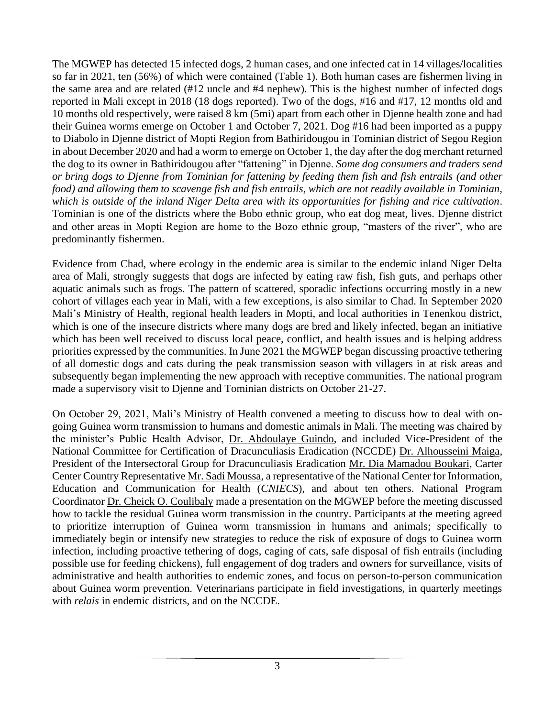The MGWEP has detected 15 infected dogs, 2 human cases, and one infected cat in 14 villages/localities so far in 2021, ten (56%) of which were contained (Table 1). Both human cases are fishermen living in the same area and are related (#12 uncle and #4 nephew). This is the highest number of infected dogs reported in Mali except in 2018 (18 dogs reported). Two of the dogs, #16 and #17, 12 months old and 10 months old respectively, were raised 8 km (5mi) apart from each other in Djenne health zone and had their Guinea worms emerge on October 1 and October 7, 2021. Dog #16 had been imported as a puppy to Diabolo in Djenne district of Mopti Region from Bathiridougou in Tominian district of Segou Region in about December 2020 and had a worm to emerge on October 1, the day after the dog merchant returned the dog to its owner in Bathiridougou after "fattening" in Djenne. *Some dog consumers and traders send or bring dogs to Djenne from Tominian for fattening by feeding them fish and fish entrails (and other food) and allowing them to scavenge fish and fish entrails, which are not readily available in Tominian, which is outside of the inland Niger Delta area with its opportunities for fishing and rice cultivation*. Tominian is one of the districts where the Bobo ethnic group, who eat dog meat, lives. Djenne district and other areas in Mopti Region are home to the Bozo ethnic group, "masters of the river", who are predominantly fishermen.

Evidence from Chad, where ecology in the endemic area is similar to the endemic inland Niger Delta area of Mali, strongly suggests that dogs are infected by eating raw fish, fish guts, and perhaps other aquatic animals such as frogs. The pattern of scattered, sporadic infections occurring mostly in a new cohort of villages each year in Mali, with a few exceptions, is also similar to Chad. In September 2020 Mali's Ministry of Health, regional health leaders in Mopti, and local authorities in Tenenkou district, which is one of the insecure districts where many dogs are bred and likely infected, began an initiative which has been well received to discuss local peace, conflict, and health issues and is helping address priorities expressed by the communities. In June 2021 the MGWEP began discussing proactive tethering of all domestic dogs and cats during the peak transmission season with villagers in at risk areas and subsequently began implementing the new approach with receptive communities. The national program made a supervisory visit to Djenne and Tominian districts on October 21-27.

On October 29, 2021, Mali's Ministry of Health convened a meeting to discuss how to deal with ongoing Guinea worm transmission to humans and domestic animals in Mali. The meeting was chaired by the minister's Public Health Advisor, Dr. Abdoulaye Guindo, and included Vice-President of the National Committee for Certification of Dracunculiasis Eradication (NCCDE) Dr. Alhousseini Maiga, President of the Intersectoral Group for Dracunculiasis Eradication Mr. Dia Mamadou Boukari, Carter Center Country Representative Mr. Sadi Moussa, a representative of the National Center for Information, Education and Communication for Health (*CNIECS*), and about ten others. National Program Coordinator Dr. Cheick O. Coulibaly made a presentation on the MGWEP before the meeting discussed how to tackle the residual Guinea worm transmission in the country. Participants at the meeting agreed to prioritize interruption of Guinea worm transmission in humans and animals; specifically to immediately begin or intensify new strategies to reduce the risk of exposure of dogs to Guinea worm infection, including proactive tethering of dogs, caging of cats, safe disposal of fish entrails (including possible use for feeding chickens), full engagement of dog traders and owners for surveillance, visits of administrative and health authorities to endemic zones, and focus on person-to-person communication about Guinea worm prevention. Veterinarians participate in field investigations, in quarterly meetings with *relais* in endemic districts, and on the NCCDE.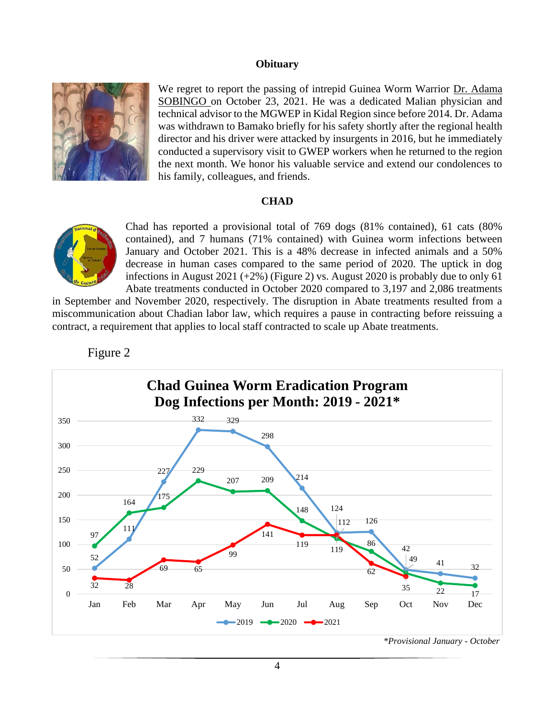#### **Obituary**



We regret to report the passing of intrepid Guinea Worm Warrior Dr. Adama SOBINGO on October 23, 2021. He was a dedicated Malian physician and technical advisor to the MGWEP in Kidal Region since before 2014. Dr. Adama was withdrawn to Bamako briefly for his safety shortly after the regional health director and his driver were attacked by insurgents in 2016, but he immediately conducted a supervisory visit to GWEP workers when he returned to the region the next month. We honor his valuable service and extend our condolences to his family, colleagues, and friends.

## **CHAD**



Chad has reported a provisional total of 769 dogs (81% contained), 61 cats (80% contained), and 7 humans (71% contained) with Guinea worm infections between January and October 2021. This is a 48% decrease in infected animals and a 50% decrease in human cases compared to the same period of 2020. The uptick in dog infections in August 2021  $(+2\%)$  (Figure 2) vs. August 2020 is probably due to only 61 Abate treatments conducted in October 2020 compared to 3,197 and 2,086 treatments

in September and November 2020, respectively. The disruption in Abate treatments resulted from a miscommunication about Chadian labor law, which requires a pause in contracting before reissuing a contract, a requirement that applies to local staff contracted to scale up Abate treatments.



## Figure 2

 *\*Provisional January - October*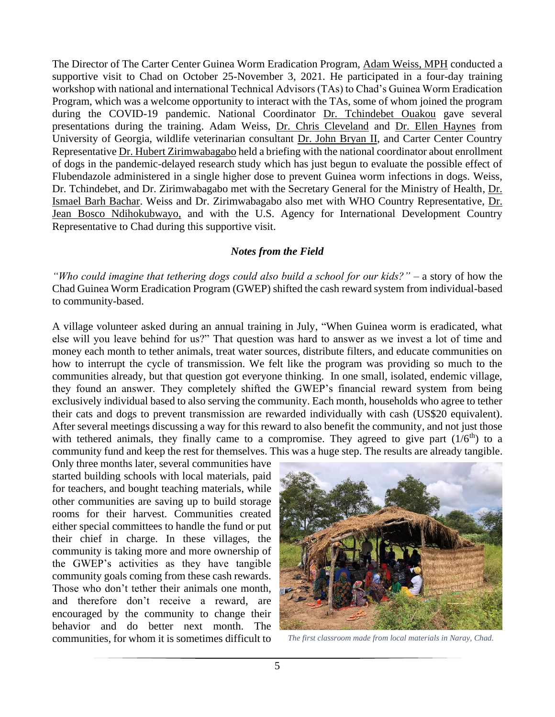The Director of The Carter Center Guinea Worm Eradication Program, Adam Weiss, MPH conducted a supportive visit to Chad on October 25-November 3, 2021. He participated in a four-day training workshop with national and international Technical Advisors (TAs) to Chad's Guinea Worm Eradication Program, which was a welcome opportunity to interact with the TAs, some of whom joined the program during the COVID-19 pandemic. National Coordinator Dr. Tchindebet Ouakou gave several presentations during the training. Adam Weiss, Dr. Chris Cleveland and Dr. Ellen Haynes from University of Georgia, wildlife veterinarian consultant Dr. John Bryan II, and Carter Center Country Representative Dr. Hubert Zirimwabagabo held a briefing with the national coordinator about enrollment of dogs in the pandemic-delayed research study which has just begun to evaluate the possible effect of Flubendazole administered in a single higher dose to prevent Guinea worm infections in dogs. Weiss, Dr. Tchindebet, and Dr. Zirimwabagabo met with the Secretary General for the Ministry of Health, Dr. Ismael Barh Bachar. Weiss and Dr. Zirimwabagabo also met with WHO Country Representative, Dr. Jean Bosco Ndihokubwayo, and with the U.S. Agency for International Development Country Representative to Chad during this supportive visit.

## *Notes from the Field*

*"Who could imagine that tethering dogs could also build a school for our kids?"* – a story of how the Chad Guinea Worm Eradication Program (GWEP) shifted the cash reward system from individual-based to community-based.

A village volunteer asked during an annual training in July, "When Guinea worm is eradicated, what else will you leave behind for us?" That question was hard to answer as we invest a lot of time and money each month to tether animals, treat water sources, distribute filters, and educate communities on how to interrupt the cycle of transmission. We felt like the program was providing so much to the communities already, but that question got everyone thinking. In one small, isolated, endemic village, they found an answer. They completely shifted the GWEP's financial reward system from being exclusively individual based to also serving the community. Each month, households who agree to tether their cats and dogs to prevent transmission are rewarded individually with cash (US\$20 equivalent). After several meetings discussing a way for this reward to also benefit the community, and not just those with tethered animals, they finally came to a compromise. They agreed to give part  $(1/6<sup>th</sup>)$  to a community fund and keep the rest for themselves. This was a huge step. The results are already tangible.

Only three months later, several communities have started building schools with local materials, paid for teachers, and bought teaching materials, while other communities are saving up to build storage rooms for their harvest. Communities created either special committees to handle the fund or put their chief in charge. In these villages, the community is taking more and more ownership of the GWEP's activities as they have tangible community goals coming from these cash rewards. Those who don't tether their animals one month, and therefore don't receive a reward, are encouraged by the community to change their behavior and do better next month. The communities, for whom it is sometimes difficult to *The first classroom made from local materials in Naray, Chad.*

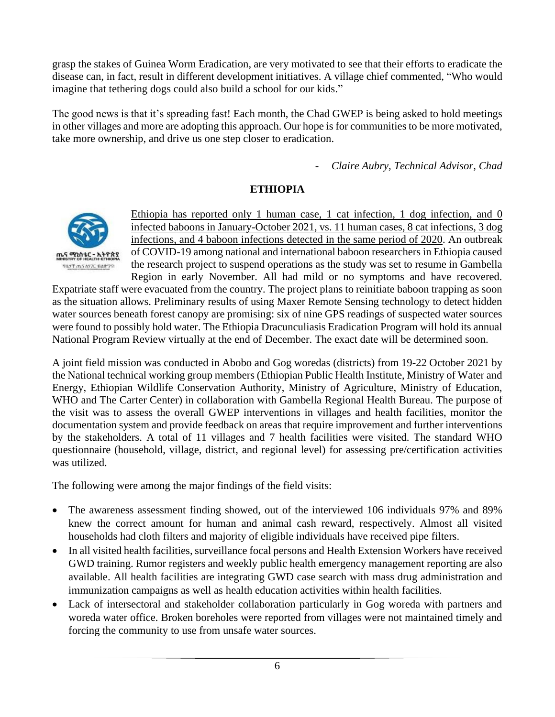grasp the stakes of Guinea Worm Eradication, are very motivated to see that their efforts to eradicate the disease can, in fact, result in different development initiatives. A village chief commented, "Who would imagine that tethering dogs could also build a school for our kids."

The good news is that it's spreading fast! Each month, the Chad GWEP is being asked to hold meetings in other villages and more are adopting this approach. Our hope is for communities to be more motivated, take more ownership, and drive us one step closer to eradication.

- *Claire Aubry, Technical Advisor, Chad*

## **ETHIOPIA**



Ethiopia has reported only 1 human case, 1 cat infection, 1 dog infection, and 0 infected baboons in January-October 2021, vs. 11 human cases, 8 cat infections, 3 dog infections, and 4 baboon infections detected in the same period of 2020. An outbreak of COVID-19 among national and international baboon researchers in Ethiopia caused the research project to suspend operations as the study was set to resume in Gambella Region in early November. All had mild or no symptoms and have recovered.

Expatriate staff were evacuated from the country. The project plans to reinitiate baboon trapping as soon as the situation allows. Preliminary results of using Maxer Remote Sensing technology to detect hidden water sources beneath forest canopy are promising: six of nine GPS readings of suspected water sources were found to possibly hold water. The Ethiopia Dracunculiasis Eradication Program will hold its annual National Program Review virtually at the end of December. The exact date will be determined soon.

A joint field mission was conducted in Abobo and Gog woredas (districts) from 19-22 October 2021 by the National technical working group members (Ethiopian Public Health Institute, Ministry of Water and Energy, Ethiopian Wildlife Conservation Authority, Ministry of Agriculture, Ministry of Education, WHO and The Carter Center) in collaboration with Gambella Regional Health Bureau. The purpose of the visit was to assess the overall GWEP interventions in villages and health facilities, monitor the documentation system and provide feedback on areas that require improvement and further interventions by the stakeholders. A total of 11 villages and 7 health facilities were visited. The standard WHO questionnaire (household, village, district, and regional level) for assessing pre/certification activities was utilized.

The following were among the major findings of the field visits:

- The awareness assessment finding showed, out of the interviewed 106 individuals 97% and 89% knew the correct amount for human and animal cash reward, respectively. Almost all visited households had cloth filters and majority of eligible individuals have received pipe filters.
- In all visited health facilities, surveillance focal persons and Health Extension Workers have received GWD training. Rumor registers and weekly public health emergency management reporting are also available. All health facilities are integrating GWD case search with mass drug administration and immunization campaigns as well as health education activities within health facilities.
- Lack of intersectoral and stakeholder collaboration particularly in Gog woreda with partners and woreda water office. Broken boreholes were reported from villages were not maintained timely and forcing the community to use from unsafe water sources.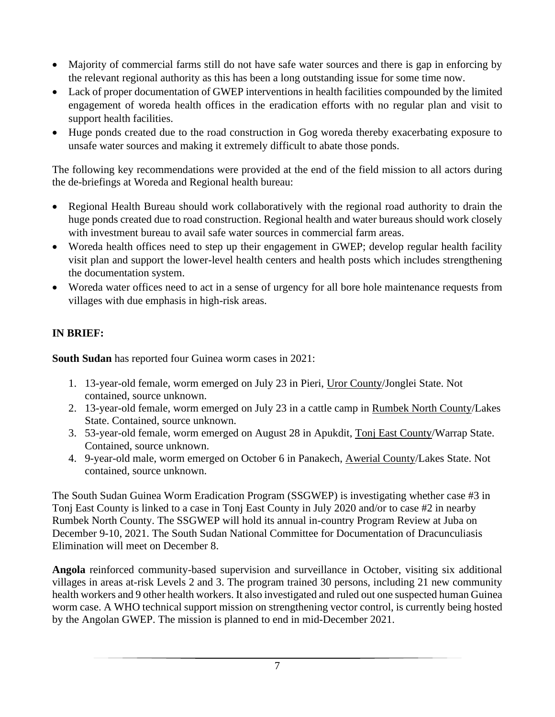- Majority of commercial farms still do not have safe water sources and there is gap in enforcing by the relevant regional authority as this has been a long outstanding issue for some time now.
- Lack of proper documentation of GWEP interventions in health facilities compounded by the limited engagement of woreda health offices in the eradication efforts with no regular plan and visit to support health facilities.
- Huge ponds created due to the road construction in Gog woreda thereby exacerbating exposure to unsafe water sources and making it extremely difficult to abate those ponds.

The following key recommendations were provided at the end of the field mission to all actors during the de-briefings at Woreda and Regional health bureau:

- Regional Health Bureau should work collaboratively with the regional road authority to drain the huge ponds created due to road construction. Regional health and water bureaus should work closely with investment bureau to avail safe water sources in commercial farm areas.
- Woreda health offices need to step up their engagement in GWEP; develop regular health facility visit plan and support the lower-level health centers and health posts which includes strengthening the documentation system.
- Woreda water offices need to act in a sense of urgency for all bore hole maintenance requests from villages with due emphasis in high-risk areas.

# **IN BRIEF:**

**South Sudan** has reported four Guinea worm cases in 2021:

- 1. 13-year-old female, worm emerged on July 23 in Pieri, Uror County/Jonglei State. Not contained, source unknown.
- 2. 13-year-old female, worm emerged on July 23 in a cattle camp in Rumbek North County/Lakes State. Contained, source unknown.
- 3. 53-year-old female, worm emerged on August 28 in Apukdit, Tonj East County/Warrap State. Contained, source unknown.
- 4. 9-year-old male, worm emerged on October 6 in Panakech, Awerial County/Lakes State. Not contained, source unknown.

The South Sudan Guinea Worm Eradication Program (SSGWEP) is investigating whether case #3 in Tonj East County is linked to a case in Tonj East County in July 2020 and/or to case #2 in nearby Rumbek North County. The SSGWEP will hold its annual in-country Program Review at Juba on December 9-10, 2021. The South Sudan National Committee for Documentation of Dracunculiasis Elimination will meet on December 8.

**Angola** reinforced community-based supervision and surveillance in October, visiting six additional villages in areas at-risk Levels 2 and 3. The program trained 30 persons, including 21 new community health workers and 9 other health workers. It also investigated and ruled out one suspected human Guinea worm case. A WHO technical support mission on strengthening vector control, is currently being hosted by the Angolan GWEP. The mission is planned to end in mid-December 2021.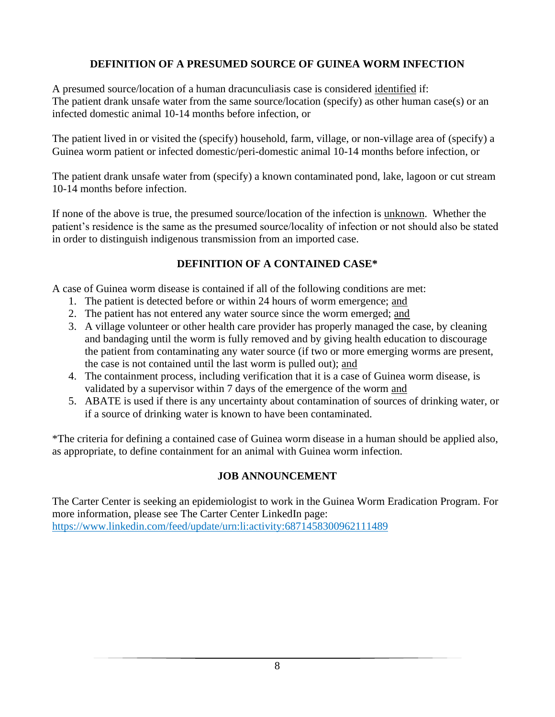## **DEFINITION OF A PRESUMED SOURCE OF GUINEA WORM INFECTION**

A presumed source/location of a human dracunculiasis case is considered identified if: The patient drank unsafe water from the same source/location (specify) as other human case(s) or an infected domestic animal 10-14 months before infection, or

The patient lived in or visited the (specify) household, farm, village, or non-village area of (specify) a Guinea worm patient or infected domestic/peri-domestic animal 10-14 months before infection, or

The patient drank unsafe water from (specify) a known contaminated pond, lake, lagoon or cut stream 10-14 months before infection.

If none of the above is true, the presumed source/location of the infection is unknown. Whether the patient's residence is the same as the presumed source/locality of infection or not should also be stated in order to distinguish indigenous transmission from an imported case.

# **DEFINITION OF A CONTAINED CASE\***

A case of Guinea worm disease is contained if all of the following conditions are met:

- 1. The patient is detected before or within 24 hours of worm emergence; and
- 2. The patient has not entered any water source since the worm emerged; and
- 3. A village volunteer or other health care provider has properly managed the case, by cleaning and bandaging until the worm is fully removed and by giving health education to discourage the patient from contaminating any water source (if two or more emerging worms are present, the case is not contained until the last worm is pulled out); and
- 4. The containment process, including verification that it is a case of Guinea worm disease, is validated by a supervisor within 7 days of the emergence of the worm and
- 5. ABATE is used if there is any uncertainty about contamination of sources of drinking water, or if a source of drinking water is known to have been contaminated.

\*The criteria for defining a contained case of Guinea worm disease in a human should be applied also, as appropriate, to define containment for an animal with Guinea worm infection.

# **JOB ANNOUNCEMENT**

The Carter Center is seeking an epidemiologist to work in the Guinea Worm Eradication Program. For more information, please see The Carter Center LinkedIn page: <https://www.linkedin.com/feed/update/urn:li:activity:6871458300962111489>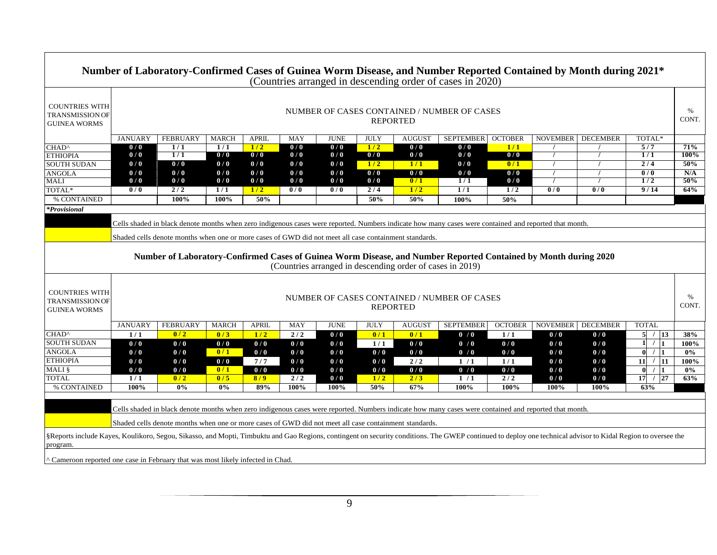|                                                                                                                                                                                                                                                                |                                                                |                                                                                                       |              |              |            |                  |             |               | Number of Laboratory-Confirmed Cases of Guinea Worm Disease, and Number Reported Contained by Month during 2021*<br>(Countries arranged in descending order of cases in 2020) |                |                 |                 |                                               |               |  |
|----------------------------------------------------------------------------------------------------------------------------------------------------------------------------------------------------------------------------------------------------------------|----------------------------------------------------------------|-------------------------------------------------------------------------------------------------------|--------------|--------------|------------|------------------|-------------|---------------|-------------------------------------------------------------------------------------------------------------------------------------------------------------------------------|----------------|-----------------|-----------------|-----------------------------------------------|---------------|--|
| <b>COUNTRIES WITH</b><br><b>TRANSMISSION OF</b><br><b>GUINEA WORMS</b>                                                                                                                                                                                         |                                                                | NUMBER OF CASES CONTAINED / NUMBER OF CASES<br><b>REPORTED</b>                                        |              |              |            |                  |             |               |                                                                                                                                                                               |                |                 |                 |                                               |               |  |
|                                                                                                                                                                                                                                                                | <b>JANUARY</b>                                                 | <b>FEBRUARY</b>                                                                                       | <b>MARCH</b> | <b>APRIL</b> | <b>MAY</b> | <b>JUNE</b>      | <b>JULY</b> | <b>AUGUS</b>  | <b>SEPTEMBER</b>                                                                                                                                                              | <b>OCTOBER</b> | <b>NOVEMBER</b> | <b>DECEMBER</b> | TOTAL*                                        |               |  |
| CHAD <sup>^</sup>                                                                                                                                                                                                                                              | 0/0                                                            | 1/1                                                                                                   | 1/1          | 1/2          | 0/0        | 0/0              | 1/2         | 0/0           | 0/0                                                                                                                                                                           | 1/1            |                 |                 | 5/7                                           | 71%           |  |
| <b>ETHIOPIA</b>                                                                                                                                                                                                                                                | 0/0                                                            | 1/1                                                                                                   | 0/0          | 0/0          | 0/0        | 0/0              | 0/0         | 0/0           | 0/0                                                                                                                                                                           | 0/0            | $\prime$        | $\prime$        | 1/1                                           | 100%          |  |
| <b>SOUTH SUDAN</b>                                                                                                                                                                                                                                             | 0/0                                                            | 0/0                                                                                                   | 0/0          | 0/0          | 0/0        | 0/0              | 1/2         | 1/1           | 0/0                                                                                                                                                                           | 0/1            |                 |                 | 2/4                                           | 50%           |  |
| <b>ANGOLA</b>                                                                                                                                                                                                                                                  | 0/0                                                            | 0/0                                                                                                   | 0/0          | 0/0          | 0/0        | 0/0              | 0/0         | 0/0           | 0/0                                                                                                                                                                           | 0/0            |                 |                 | $\overline{0/0}$                              | N/A           |  |
| MALI                                                                                                                                                                                                                                                           | 0/0                                                            | 0/0                                                                                                   | 0/0          | 0/0          | 0/0        | 0/0              | 0/0         | 0/1           | $\overline{1/1}$                                                                                                                                                              | 0/0            | $\prime$        | $\prime$        | 1/2                                           | 50%           |  |
| TOTAL*                                                                                                                                                                                                                                                         | 0/0                                                            | 2/2                                                                                                   | 1/1          | 1/2          | 0/0        | $\overline{0/0}$ | 2/4         | 1/2           | 1/1                                                                                                                                                                           | 1/2            | 0/0             | 0/0             | 9/14                                          | 64%           |  |
| % CONTAINED                                                                                                                                                                                                                                                    |                                                                | 100%                                                                                                  | 100%         | 50%          |            |                  | 50%         | 50%           | 100%                                                                                                                                                                          | 50%            |                 |                 |                                               |               |  |
| <i>*Provisional</i>                                                                                                                                                                                                                                            |                                                                |                                                                                                       |              |              |            |                  |             |               |                                                                                                                                                                               |                |                 |                 |                                               |               |  |
| Cells shaded in black denote months when zero indigenous cases were reported. Numbers indicate how many cases were contained and reported that month.                                                                                                          |                                                                |                                                                                                       |              |              |            |                  |             |               |                                                                                                                                                                               |                |                 |                 |                                               |               |  |
|                                                                                                                                                                                                                                                                |                                                                |                                                                                                       |              |              |            |                  |             |               |                                                                                                                                                                               |                |                 |                 |                                               |               |  |
|                                                                                                                                                                                                                                                                |                                                                | Shaded cells denote months when one or more cases of GWD did not meet all case containment standards. |              |              |            |                  |             |               |                                                                                                                                                                               |                |                 |                 |                                               |               |  |
| Number of Laboratory-Confirmed Cases of Guinea Worm Disease, and Number Reported Contained by Month during 2020<br>(Countries arranged in descending order of cases in 2019)                                                                                   |                                                                |                                                                                                       |              |              |            |                  |             |               |                                                                                                                                                                               |                |                 |                 |                                               |               |  |
| <b>COUNTRIES WITH</b><br><b>TRANSMISSION OF</b><br><b>GUINEA WORMS</b>                                                                                                                                                                                         | NUMBER OF CASES CONTAINED / NUMBER OF CASES<br><b>REPORTED</b> |                                                                                                       |              |              |            |                  |             |               |                                                                                                                                                                               |                |                 |                 |                                               | $\%$<br>CONT. |  |
|                                                                                                                                                                                                                                                                | <b>JANUARY</b>                                                 | <b>FEBRUARY</b>                                                                                       | <b>MARCH</b> | <b>APRIL</b> | MAY        | <b>JUNE</b>      | <b>JULY</b> | <b>AUGUST</b> | <b>SEPTEMBER</b>                                                                                                                                                              | <b>OCTOBER</b> | <b>NOVEMBER</b> | <b>DECEMBER</b> | <b>TOTAL</b>                                  |               |  |
| CHAD <sup>^</sup>                                                                                                                                                                                                                                              | 1/1                                                            | 0/2                                                                                                   | 0/3          | 1/2          | $2/2$      | 0/0              | 0/1         | 0/1           | 0/0                                                                                                                                                                           | 1/1            | 0/0             | 0/0             | 5 / 13                                        | 38%           |  |
| <b>SOUTH SUDAN</b>                                                                                                                                                                                                                                             | 0/0                                                            | 0/0                                                                                                   | 0/0          | 0/0          | 0/0        | 0/0              | 1/1         | 0/0           | 0/0                                                                                                                                                                           | 0/0            | 0/0             | 0/0             | $\mathbf{1}$<br>$\frac{1}{2}$                 | 100%          |  |
| <b>ANGOLA</b>                                                                                                                                                                                                                                                  | 0/0                                                            | 0/0                                                                                                   | 0/1          | 0/0          | 0/0        | 0/0              | 0/0         | 0/0           | 0/0                                                                                                                                                                           | 0/0            | 0/0             | 0/0             | $\mathbf{0}$<br>$\frac{1}{2}$<br>$\mathbf{1}$ | $0\%$         |  |
| <b>ETHIOPIA</b>                                                                                                                                                                                                                                                | 0/0                                                            | 0/0                                                                                                   | 0/0          | 7/7          | 0/0        | 0/0              | 0/0         | 2/2           | 1/1                                                                                                                                                                           | 1/1            | 0/0             | 0/0             | 11<br>$/$ 11                                  | 100%          |  |
| MALI §                                                                                                                                                                                                                                                         | $\overline{\mathbf{0}}$ / $\overline{\mathbf{0}}$              | 0/0                                                                                                   | 0/1          | 0/0          | 0/0        | 0/0              | 0/0         | 0/0           | 0/0                                                                                                                                                                           | 0/0            | 0/0             | 0/0             | $\mathbf{0}$<br>$\mathbf{1}$<br>$\prime$      | $0\%$         |  |
| <b>TOTAL</b>                                                                                                                                                                                                                                                   | 1/1                                                            | 0/2                                                                                                   | 0/5          | 8/9          | 2/2        | 0/0              | 1/2         | 2/3           | 1/1                                                                                                                                                                           | 2/2            | 0/0             | 0/0             | /27<br>17                                     | 63%           |  |
| % CONTAINED                                                                                                                                                                                                                                                    | 100%                                                           | $0\%$                                                                                                 | $0\%$        | 89%          | 100%       | 100%             | 50%         | 67%           | 100%                                                                                                                                                                          | 100%           | 100%            | 100%            | 63%                                           |               |  |
| Cells shaded in black denote months when zero indigenous cases were reported. Numbers indicate how many cases were contained and reported that month.<br>Shaded cells denote months when one or more cases of GWD did not meet all case containment standards. |                                                                |                                                                                                       |              |              |            |                  |             |               |                                                                                                                                                                               |                |                 |                 |                                               |               |  |
| §Reports include Kayes, Koulikoro, Segou, Sikasso, and Mopti, Timbuktu and Gao Regions, contingent on security conditions. The GWEP continued to deploy one technical advisor to Kidal Region to oversee the<br>program.                                       |                                                                |                                                                                                       |              |              |            |                  |             |               |                                                                                                                                                                               |                |                 |                 |                                               |               |  |
| " Cameroon reported one case in February that was most likely infected in Chad.                                                                                                                                                                                |                                                                |                                                                                                       |              |              |            |                  |             |               |                                                                                                                                                                               |                |                 |                 |                                               |               |  |